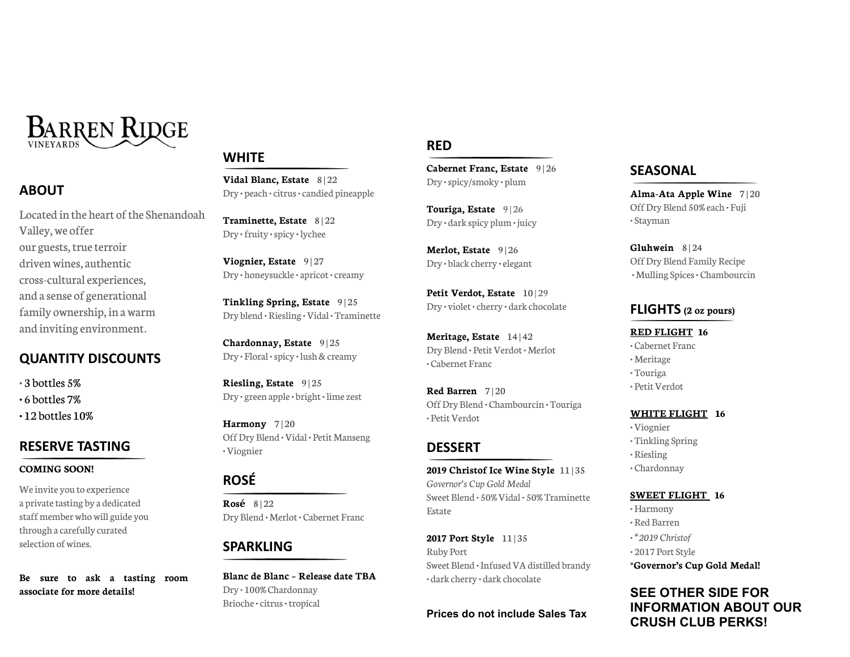

## **ABOUT**

Located in the heart of the Shenandoah Valley, we offer our guests, true terroir driven wines, authentic cross-cultural experiences, and a sense of generational family ownership, in a warm and inviting environment.

## **QUANTITY DISCOUNTS**

• 3 bottles 5%

• 6 bottles 7%

• 12 bottles 10%

# **RESERVE TASTING**

#### **COMING SOON!**

Weinvite you to experience a private tasting by a dedicated staff member who will guide you through a carefully curated selection of wines.

**Be sure to ask a tasting room associate for more details!**

# **WHITE**

**Vidal Blanc, Estate** 8 | 22 Dry • peach •citrus•candied pineapple

**Traminette, Estate** 8 | 22 Dry •fruity •spicy • lychee

**Viognier, Estate** 9 | 27 Dry • honeysuckle• apricot•creamy

**Tinkling Spring, Estate** 9 | 25 Dry blend • Riesling •Vidal • Traminette

**Chardonnay, Estate** 9 | 25 Dry • Floral • spicy • lush & creamy

**Riesling, Estate** 9 | 25 Dry • green apple• bright• limezest

**Harmony** 7 | 20 OffDry Blend •Vidal • Petit Manseng •Viognier

# **ROSÉ**

**Rosé** 8 | 22 Dry Blend • Merlot• Cabernet Franc

# **SPARKLING**

**Blanc de Blanc – Release date TBA** Dry • 100% Chardonnay Brioche•citrus•tropical

## **RED**

**Cabernet Franc, Estate** 9 | 26 Dry •spicy/smoky • plum

**Touriga, Estate** 9 | 26 Dry • dark spicy plum• juicy

**Merlot, Estate** 9 | 26 Dry • black cherry • elegant

**Petit Verdot, Estate** 10 | 29 Dry • violet•cherry • dark chocolate

**Meritage, Estate** 14 | 42 Dry Blend · Petit Verdot · Merlot • Cabernet Franc

**Red Barren** 7 | 20 OffDry Blend • Chambourcin • Touriga • PetitVerdot

## **DESSERT**

**2019 Christof Ice Wine Style** 11 | 35 *Governor's Cup Gold Medal* Sweet Blend • 50%Vidal • 50% Traminette Estate

**2017 Port Style** 11 | 35 Ruby Port Sweet Blend · Infused VA distilled brandy • dark cherry • dark chocolate

**Prices do not include Sales Tax**

# **SEASONAL**

**Alma-Ata Apple Wine** 7 | 20 OffDry Blend 50% each • Fuji • Stayman

**Gluhwein** 8 | 24 OffDry Blend Family Recipe • Mulling Spices• Chambourcin

## **FLIGHTS (2 oz pours)**

**RED FLIGHT 16** • Cabernet Franc • Meritage • Touriga • Petit Verdot

#### **WHITE FLIGHT 16**

•Viognier • Tinkling Spring

• Riesling

• Chardonnay

#### **SWEET FLIGHT 16**

•Harmony

• Red Barren

•**\****2019 Christof*

• 2017 Port Style

**\*Governor's Cup Gold Medal!**

## **SEE OTHER SIDE FOR INFORMATION ABOUT OUR CRUSH CLUB PERKS!**